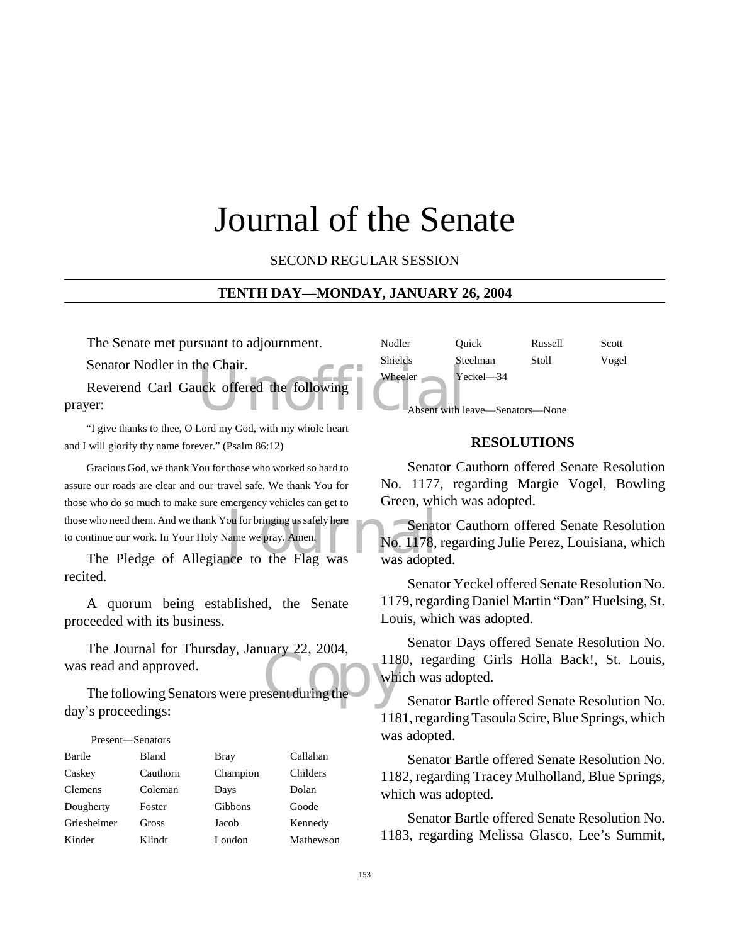# Journal of the Senate

SECOND REGULAR SESSION

#### **TENTH DAY—MONDAY, JANUARY 26, 2004**

The Senate met pursuant to adjournment.

Senator Nodler in the Chair.

the Chair. Reverend Carl Gauck offered the following prayer:

"I give thanks to thee, O Lord my God, with my whole heart and I will glorify thy name forever." (Psalm 86:12)

who need them. And we thank You for bringing us safely here<br>
Intinue our work. In Your Holy Name we pray. Amen.<br>
The Pledge of Allegiance to the Flag was was adopted Gracious God, we thank You for those who worked so hard to assure our roads are clear and our travel safe. We thank You for those who do so much to make sure emergency vehicles can get to those who need them. And we thank You for bringing us safely here to continue our work. In Your Holy Name we pray. Amen.

recited.

A quorum being established, the Senate proceeded with its business.

The Journal for Thursday, January 22, 2004,<br>read and approved.<br>The following Senators were present during the The Journal for Thursday, January 22, 2004, was read and approved.

day's proceedings:

# Present—Senators

| Bartle      | Bland    | <b>Bray</b> | Callahan  |
|-------------|----------|-------------|-----------|
| Caskey      | Cauthorn | Champion    | Childers  |
| Clemens     | Coleman  | Days        | Dolan     |
| Dougherty   | Foster   | Gibbons     | Goode     |
| Griesheimer | Gross    | Jacob       | Kennedy   |
| Kinder      | Klindt   | Loudon      | Mathewson |

Nodler Quick Russell Scott Shields Steelman Stoll Vogel Wheeler Yeckel-34 Absent with leave—Senators—None

#### **RESOLUTIONS**

Senator Cauthorn offered Senate Resolution No. 1177, regarding Margie Vogel, Bowling Green, which was adopted.

**Senator Cauthorn offered Senate Resolution** No. 1178, regarding Julie Perez, Louisiana, which was adopted.

Senator Yeckel offered Senate Resolution No. 1179, regarding Daniel Martin "Dan" Huelsing, St. Louis, which was adopted.

Senator Days offered Senate Resolution No. 1180, regarding Girls Holla Back!, St. Louis, which was adopted.

Senator Bartle offered Senate Resolution No. 1181, regarding Tasoula Scire, Blue Springs, which was adopted.

Senator Bartle offered Senate Resolution No. 1182, regarding Tracey Mulholland, Blue Springs, which was adopted.

Senator Bartle offered Senate Resolution No. 1183, regarding Melissa Glasco, Lee's Summit,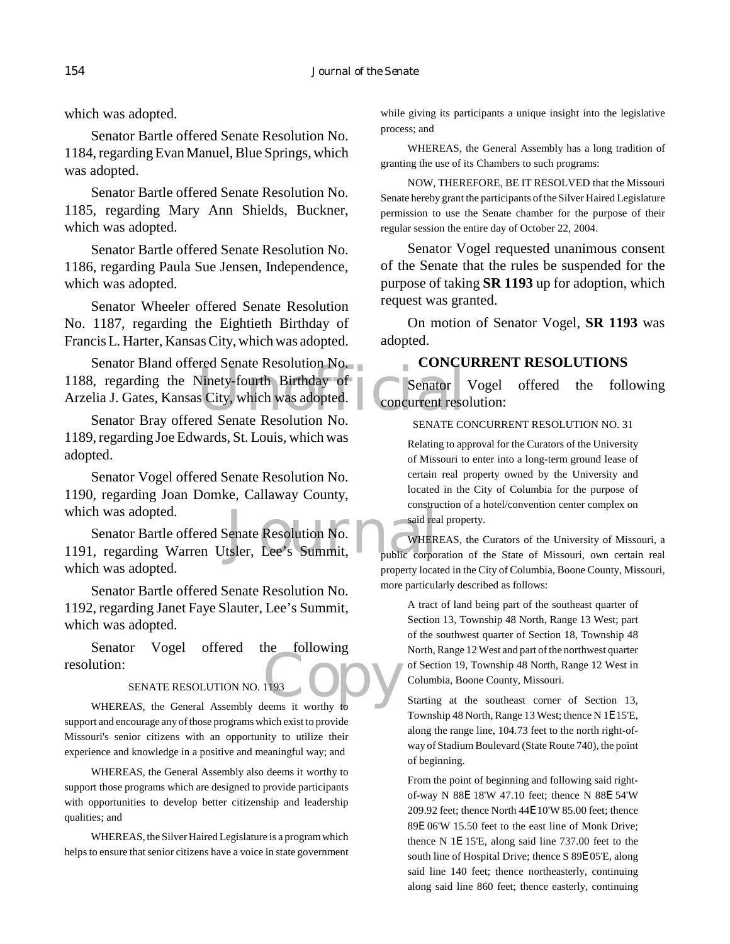which was adopted.

Senator Bartle offered Senate Resolution No. 1184, regarding Evan Manuel, Blue Springs, which was adopted.

Senator Bartle offered Senate Resolution No. 1185, regarding Mary Ann Shields, Buckner, which was adopted.

Senator Bartle offered Senate Resolution No. 1186, regarding Paula Sue Jensen, Independence, which was adopted.

Senator Wheeler offered Senate Resolution No. 1187, regarding the Eightieth Birthday of Francis L. Harter, Kansas City, which was adopted.

Vinety-fourth Birthday of<br>Senator Scity, which was adopted.<br>The Senate Resolution No. The Senator of Senate Resolution No. Senator Bland offered Senate Resolution No. 1188, regarding the Ninety-fourth Birthday of Arzelia J. Gates, Kansas City, which was adopted.

Senator Bray offered Senate Resolution No. 1189, regarding Joe Edwards, St. Louis, which was adopted.

Senator Vogel offered Senate Resolution No. 1190, regarding Joan Domke, Callaway County, which was adopted.

Senate Resolution No.<br>Senate Resolution No.<br>Summit, The Public corpor Senator Bartle offered Senate Resolution No. 1191, regarding Warren Utsler, Lee's Summit, which was adopted.

Senator Bartle offered Senate Resolution No. 1192, regarding Janet Faye Slauter, Lee's Summit, which was adopted.

1193 ODV Senator Vogel offered the following resolution:

#### SENATE RESOLUTION NO. 1193

WHEREAS, the General Assembly deems it worthy to support and encourage any of those programs which exist to provide Missouri's senior citizens with an opportunity to utilize their experience and knowledge in a positive and meaningful way; and

WHEREAS, the General Assembly also deems it worthy to support those programs which are designed to provide participants with opportunities to develop better citizenship and leadership qualities; and

WHEREAS, the Silver Haired Legislature is a program which helps to ensure that senior citizens have a voice in state government while giving its participants a unique insight into the legislative process; and

WHEREAS, the General Assembly has a long tradition of granting the use of its Chambers to such programs:

NOW, THEREFORE, BE IT RESOLVED that the Missouri Senate hereby grant the participants of the Silver Haired Legislature permission to use the Senate chamber for the purpose of their regular session the entire day of October 22, 2004.

Senator Vogel requested unanimous consent of the Senate that the rules be suspended for the purpose of taking **SR 1193** up for adoption, which request was granted.

On motion of Senator Vogel, **SR 1193** was adopted.

#### **CONCURRENT RESOLUTIONS**

Senator Vogel offered the following concurrent resolution:

#### SENATE CONCURRENT RESOLUTION NO. 31

Relating to approval for the Curators of the University of Missouri to enter into a long-term ground lease of certain real property owned by the University and located in the City of Columbia for the purpose of construction of a hotel/convention center complex on said real property.

WHEREAS, the Curators of the University of Missouri, a public corporation of the State of Missouri, own certain real property located in the City of Columbia, Boone County, Missouri, more particularly described as follows:

A tract of land being part of the southeast quarter of Section 13, Township 48 North, Range 13 West; part of the southwest quarter of Section 18, Township 48 North, Range 12 West and part of the northwest quarter of Section 19, Township 48 North, Range 12 West in Columbia, Boone County, Missouri.

Starting at the southeast corner of Section 13, Township 48 North, Range 13 West; thence N 1E 15'E, along the range line, 104.73 feet to the north right-ofway of Stadium Boulevard (State Route 740), the point of beginning.

From the point of beginning and following said rightof-way N 88E 18'W 47.10 feet; thence N 88E 54'W 209.92 feet; thence North 44E 10'W 85.00 feet; thence 89E 06'W 15.50 feet to the east line of Monk Drive; thence N 1E 15'E, along said line 737.00 feet to the south line of Hospital Drive; thence S 89E 05'E, along said line 140 feet; thence northeasterly, continuing along said line 860 feet; thence easterly, continuing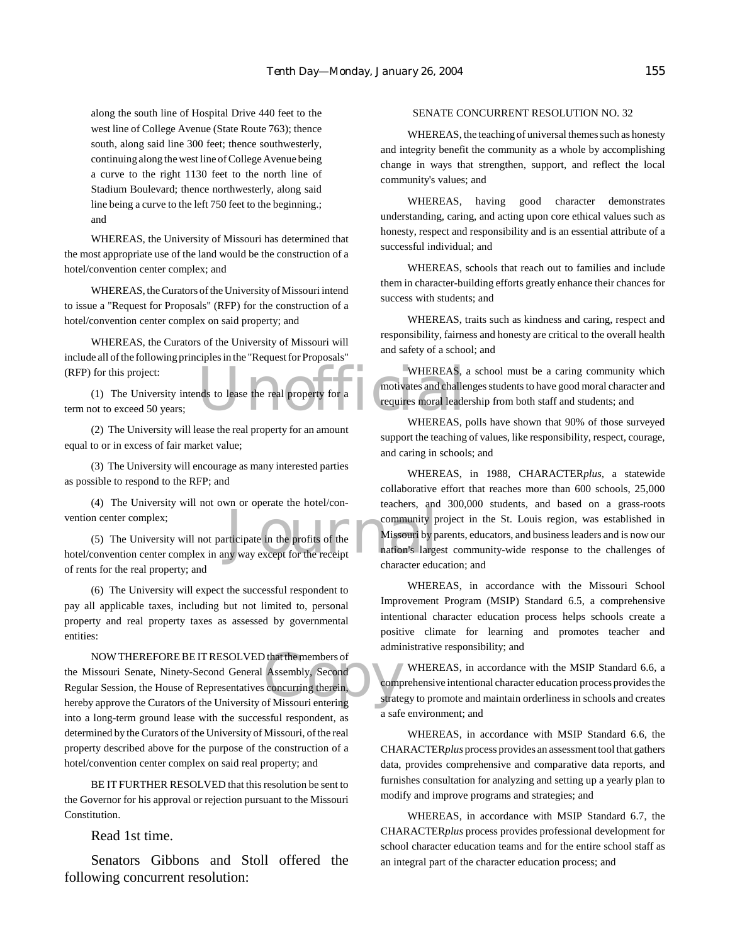along the south line of Hospital Drive 440 feet to the west line of College Avenue (State Route 763); thence south, along said line 300 feet; thence southwesterly, continuing along the west line of College Avenue being a curve to the right 1130 feet to the north line of Stadium Boulevard; thence northwesterly, along said line being a curve to the left 750 feet to the beginning.; and

WHEREAS, the University of Missouri has determined that the most appropriate use of the land would be the construction of a hotel/convention center complex; and

WHEREAS, the Curators of the University of Missouri intend to issue a "Request for Proposals" (RFP) for the construction of a hotel/convention center complex on said property; and

WHEREAS, the Curators of the University of Missouri will include all of the following principles in the "Request for Proposals" (RFP) for this project:

(1) The University intends to lease the real property for a term not to exceed 50 years;

(2) The University will lease the real property for an amount equal to or in excess of fair market value;

(3) The University will encourage as many interested parties as possible to respond to the RFP; and

(4) The University will not own or operate the hotel/convention center complex;

community p<br>
rticipate in the profits of the<br>
my way except for the receipt<br>
character educ (5) The University will not participate in the profits of the hotel/convention center complex in any way except for the receipt of rents for the real property; and

(6) The University will expect the successful respondent to pay all applicable taxes, including but not limited to, personal property and real property taxes as assessed by governmental entities:

NOW THEREFORE BE IT RESOLVED that the members of<br>
the Missouri Senate, Ninety-Second General Assembly, Second<br>
Regular Session, the House of Representatives concurring therein,<br>
hereby approve the Curators of the Universit NOW THEREFORE BE IT RESOLVED that the members of the Missouri Senate, Ninety-Second General Assembly, Second Regular Session, the House of Representatives concurring therein, into a long-term ground lease with the successful respondent, as determined by the Curators of the University of Missouri, of the real property described above for the purpose of the construction of a hotel/convention center complex on said real property; and

BE IT FURTHER RESOLVED that this resolution be sent to the Governor for his approval or rejection pursuant to the Missouri Constitution.

Read 1st time.

Senators Gibbons and Stoll offered the following concurrent resolution:

#### SENATE CONCURRENT RESOLUTION NO. 32

WHEREAS, the teaching of universal themes such as honesty and integrity benefit the community as a whole by accomplishing change in ways that strengthen, support, and reflect the local community's values; and

WHEREAS, having good character demonstrates understanding, caring, and acting upon core ethical values such as honesty, respect and responsibility and is an essential attribute of a successful individual; and

WHEREAS, schools that reach out to families and include them in character-building efforts greatly enhance their chances for success with students; and

WHEREAS, traits such as kindness and caring, respect and responsibility, fairness and honesty are critical to the overall health and safety of a school; and

WHEREAS, and to lease the real property for a<br>motivates and challe<br>requires moral leade WHEREAS, a school must be a caring community which motivates and challenges students to have good moral character and requires moral leadership from both staff and students; and

WHEREAS, polls have shown that 90% of those surveyed support the teaching of values, like responsibility, respect, courage, and caring in schools; and

WHEREAS, in 1988, CHARACTER*plus,* a statewide collaborative effort that reaches more than 600 schools, 25,000 teachers, and 300,000 students, and based on a grass-roots community project in the St. Louis region, was established in Missouri by parents, educators, and business leaders and is now our nation's largest community-wide response to the challenges of character education; and

WHEREAS, in accordance with the Missouri School Improvement Program (MSIP) Standard 6.5, a comprehensive intentional character education process helps schools create a positive climate for learning and promotes teacher and administrative responsibility; and

WHEREAS, in accordance with the MSIP Standard 6.6, a comprehensive intentional character education process provides the strategy to promote and maintain orderliness in schools and creates a safe environment; and

WHEREAS, in accordance with MSIP Standard 6.6, the CHARACTER*plus* process provides an assessment tool that gathers data, provides comprehensive and comparative data reports, and furnishes consultation for analyzing and setting up a yearly plan to modify and improve programs and strategies; and

WHEREAS, in accordance with MSIP Standard 6.7, the CHARACTER*plus* process provides professional development for school character education teams and for the entire school staff as an integral part of the character education process; and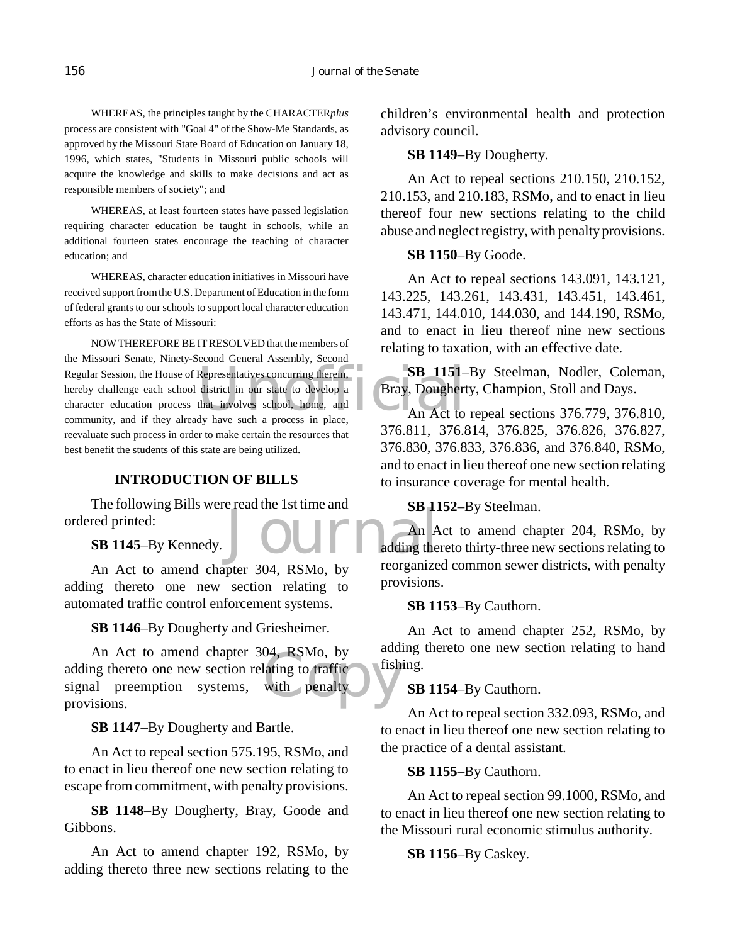WHEREAS, the principles taught by the CHARACTER*plus* process are consistent with "Goal 4" of the Show-Me Standards, as approved by the Missouri State Board of Education on January 18, 1996, which states, "Students in Missouri public schools will acquire the knowledge and skills to make decisions and act as responsible members of society"; and

WHEREAS, at least fourteen states have passed legislation requiring character education be taught in schools, while an additional fourteen states encourage the teaching of character education; and

WHEREAS, character education initiatives in Missouri have received support from the U.S. Department of Education in the form of federal grants to our schools to support local character education efforts as has the State of Missouri:

Regular Session, the House of Representatives concurring therein, **SB 1151**-<br>hereby challenge each school district in our state to develop a **Bray**, Doughert<br>character education process that involves school, home, and **An** NOW THEREFORE BE IT RESOLVED that the members of the Missouri Senate, Ninety-Second General Assembly, Second hereby challenge each school district in our state to develop a character education process that involves school, home, and community, and if they already have such a process in place, reevaluate such process in order to make certain the resources that best benefit the students of this state are being utilized.

# **INTRODUCTION OF BILLS**

The following Bills were read the 1st time and ordered printed:

**SB 1145**–By Kennedy.

An Act to amend chapter 304, RSMo, by adding thereto one new section relating to automated traffic control enforcement systems.

**SB 1146**–By Dougherty and Griesheimer.

04, RSMo, by<br>lating to traffic<br>with penalty An Act to amend chapter 304, RSMo, by adding thereto one new section relating to traffic signal preemption systems, with penalty provisions.

**SB 1147**–By Dougherty and Bartle.

An Act to repeal section 575.195, RSMo, and to enact in lieu thereof one new section relating to escape from commitment, with penalty provisions.

**SB 1148**–By Dougherty, Bray, Goode and Gibbons.

An Act to amend chapter 192, RSMo, by adding thereto three new sections relating to the children's environmental health and protection advisory council.

### **SB 1149**–By Dougherty.

An Act to repeal sections 210.150, 210.152, 210.153, and 210.183, RSMo, and to enact in lieu thereof four new sections relating to the child abuse and neglect registry, with penalty provisions.

#### **SB 1150**–By Goode.

An Act to repeal sections 143.091, 143.121, 143.225, 143.261, 143.431, 143.451, 143.461, 143.471, 144.010, 144.030, and 144.190, RSMo, and to enact in lieu thereof nine new sections relating to taxation, with an effective date.

**SB 1151**–By Steelman, Nodler, Coleman, Bray, Dougherty, Champion, Stoll and Days.

An Act to repeal sections 376.779, 376.810, 376.811, 376.814, 376.825, 376.826, 376.827, 376.830, 376.833, 376.836, and 376.840, RSMo, and to enact in lieu thereof one new section relating to insurance coverage for mental health.

**SB 1152**–By Steelman.

Journal Britain An Act to amend chapter 204, RSMo, by adding thereto thirty-three new sections relating to reorganized common sewer districts, with penalty provisions.

**SB 1153**–By Cauthorn.

An Act to amend chapter 252, RSMo, by adding thereto one new section relating to hand fishing.

**SB 1154**–By Cauthorn.

An Act to repeal section 332.093, RSMo, and to enact in lieu thereof one new section relating to the practice of a dental assistant.

**SB 1155**–By Cauthorn.

An Act to repeal section 99.1000, RSMo, and to enact in lieu thereof one new section relating to the Missouri rural economic stimulus authority.

**SB 1156**–By Caskey.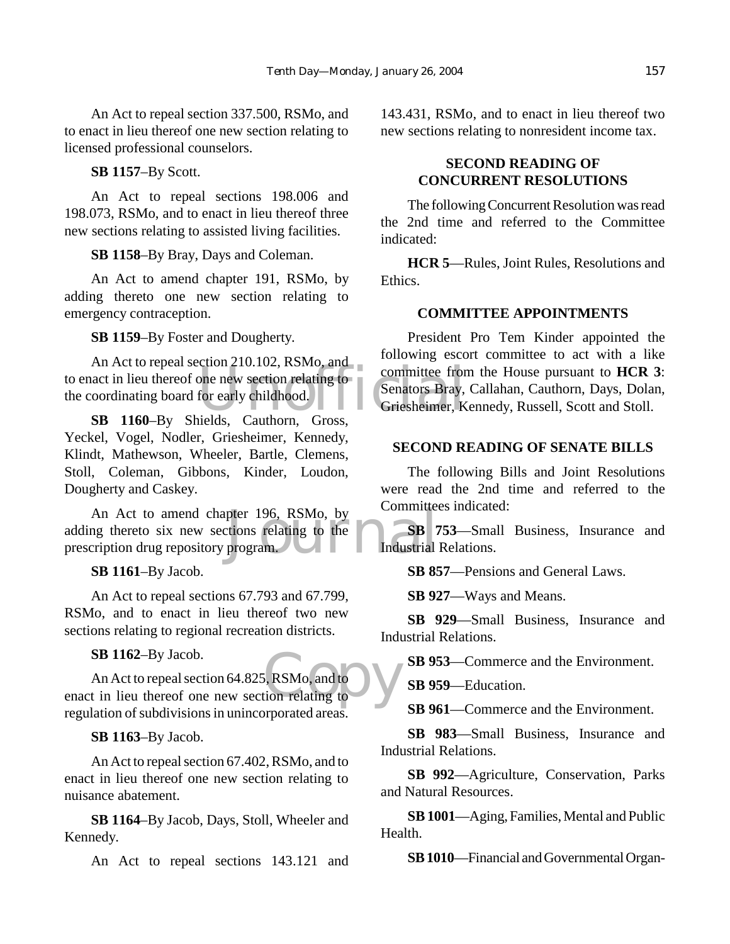An Act to repeal section 337.500, RSMo, and to enact in lieu thereof one new section relating to licensed professional counselors.

**SB 1157**–By Scott.

An Act to repeal sections 198.006 and 198.073, RSMo, and to enact in lieu thereof three new sections relating to assisted living facilities.

**SB 1158**–By Bray, Days and Coleman.

An Act to amend chapter 191, RSMo, by adding thereto one new section relating to emergency contraception.

**SB 1159**–By Foster and Dougherty.

EXECUTE COLORED 210.102, KSMO, and<br>to enact in lieu thereof one new section relating to<br>the coordinating board for early childhood.<br>Senators Bray,<br>Griesheimer, K An Act to repeal section 210.102, RSMo, and the coordinating board for early childhood.

**SB 1160**–By Shields, Cauthorn, Gross, Yeckel, Vogel, Nodler, Griesheimer, Kennedy, Klindt, Mathewson, Wheeler, Bartle, Clemens, Stoll, Coleman, Gibbons, Kinder, Loudon, Dougherty and Caskey.

pter 196, RSMo, by<br>tions relating to the SB 7<br>program. Industrial An Act to amend chapter 196, RSMo, by adding thereto six new sections relating to the prescription drug repository program.

**SB 1161**–By Jacob.

An Act to repeal sections 67.793 and 67.799, RSMo, and to enact in lieu thereof two new sections relating to regional recreation districts.

**SB 1162**–By Jacob.

 $\overline{\text{G}}$ , RSMo, and to  $\overline{\text{G}}$ An Act to repeal section 64.825, RSMo, and to enact in lieu thereof one new section relating to regulation of subdivisions in unincorporated areas.

**SB 1163**–By Jacob.

An Act to repeal section 67.402, RSMo, and to enact in lieu thereof one new section relating to nuisance abatement.

**SB 1164**–By Jacob, Days, Stoll, Wheeler and Kennedy.

An Act to repeal sections 143.121 and

143.431, RSMo, and to enact in lieu thereof two new sections relating to nonresident income tax.

# **SECOND READING OF CONCURRENT RESOLUTIONS**

The following Concurrent Resolution was read the 2nd time and referred to the Committee indicated:

**HCR 5**—Rules, Joint Rules, Resolutions and Ethics.

# **COMMITTEE APPOINTMENTS**

President Pro Tem Kinder appointed the following escort committee to act with a like committee from the House pursuant to **HCR 3**: Senators Bray, Callahan, Cauthorn, Days, Dolan, Griesheimer, Kennedy, Russell, Scott and Stoll.

# **SECOND READING OF SENATE BILLS**

The following Bills and Joint Resolutions were read the 2nd time and referred to the Committees indicated:

**SB 753**—Small Business, Insurance and Industrial Relations.

**SB 857**—Pensions and General Laws.

**SB 927**—Ways and Means.

**SB 929**—Small Business, Insurance and Industrial Relations.

**SB 953**—Commerce and the Environment.

**SB 959**—Education.

**SB 961**—Commerce and the Environment.

**SB 983**—Small Business, Insurance and Industrial Relations.

**SB 992**—Agriculture, Conservation, Parks and Natural Resources.

**SB 1001**—Aging, Families, Mental and Public Health.

**SB 1010**—Financial and Governmental Organ-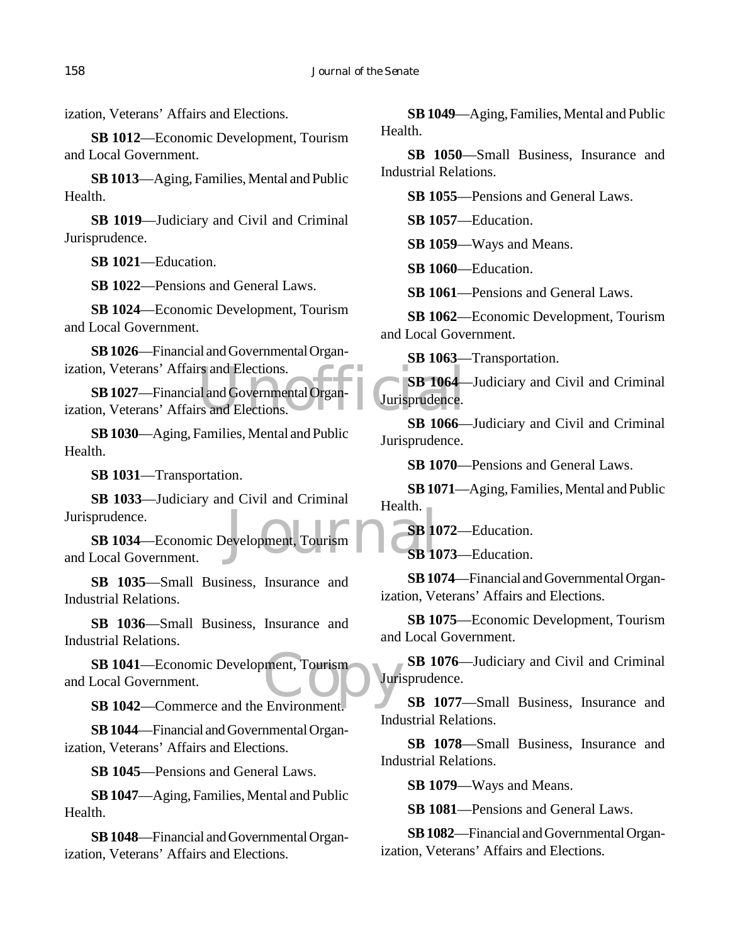ization, Veterans' Affairs and Elections.

**SB 1012**—Economic Development, Tourism and Local Government.

**SB 1013**—Aging, Families, Mental and Public Health.

**SB 1019**—Judiciary and Civil and Criminal Jurisprudence.

**SB 1021**—Education.

**SB 1022**—Pensions and General Laws.

**SB 1024**—Economic Development, Tourism and Local Government.

**SB 1026**—Financial and Governmental Organization, Veterans' Affairs and Elections.

rs and Elections.<br>
Elections.<br>
Elections.<br>
Elections.<br>
Elections.<br>
Elections.<br>
Elections.<br>
Elections.<br>
Elections. **SB 1027**—Financial and Governmental Organization, Veterans' Affairs and Elections.

**SB 1030**—Aging, Families, Mental and Public Health.

**SB 1031**—Transportation.

**SB 1033**—Judiciary and Civil and Criminal Jurisprudence.

The Treatures of the Superior of the Superior of the Superior Superior of Superior Superior Superior Superior Superior Superior Superior Superior Superior Superior Superior Superior Superior Superior Superior Superior Supe **SB 1034**—Economic Development, Tourism and Local Government.

**SB 1035**—Small Business, Insurance and Industrial Relations.

**SB 1036**—Small Business, Insurance and Industrial Relations.

SB 1041—Economic Development, Tourism<br>
Local Government.<br>
SB 1042—Commerce and the Environment and Local Government.

**SB 1042**—Commerce and the Environment.

**SB 1044**—Financial and Governmental Organization, Veterans' Affairs and Elections.

**SB 1045**—Pensions and General Laws.

**SB 1047**—Aging, Families, Mental and Public Health.

**SB 1048**—Financial and Governmental Organization, Veterans' Affairs and Elections.

**SB 1049**—Aging, Families, Mental and Public Health.

**SB 1050**—Small Business, Insurance and Industrial Relations.

**SB 1055**—Pensions and General Laws.

**SB 1057**—Education.

**SB 1059**—Ways and Means.

**SB 1060**—Education.

**SB 1061**—Pensions and General Laws.

**SB 1062**—Economic Development, Tourism and Local Government.

**SB 1063**—Transportation.

**SB 1064**—Judiciary and Civil and Criminal Jurisprudence.

**SB 1066**—Judiciary and Civil and Criminal Jurisprudence.

**SB 1070**—Pensions and General Laws.

**SB 1071**—Aging, Families, Mental and Public Health.

**SB 1072**—Education.

**SB 1073**—Education.

**SB 1074**—Financial and Governmental Organization, Veterans' Affairs and Elections.

**SB 1075**—Economic Development, Tourism and Local Government.

**SB 1076**—Judiciary and Civil and Criminal Jurisprudence.

**SB 1077**—Small Business, Insurance and Industrial Relations.

**SB 1078**—Small Business, Insurance and Industrial Relations.

**SB 1079**—Ways and Means.

**SB 1081**—Pensions and General Laws.

**SB 1082**—Financial and Governmental Organization, Veterans' Affairs and Elections.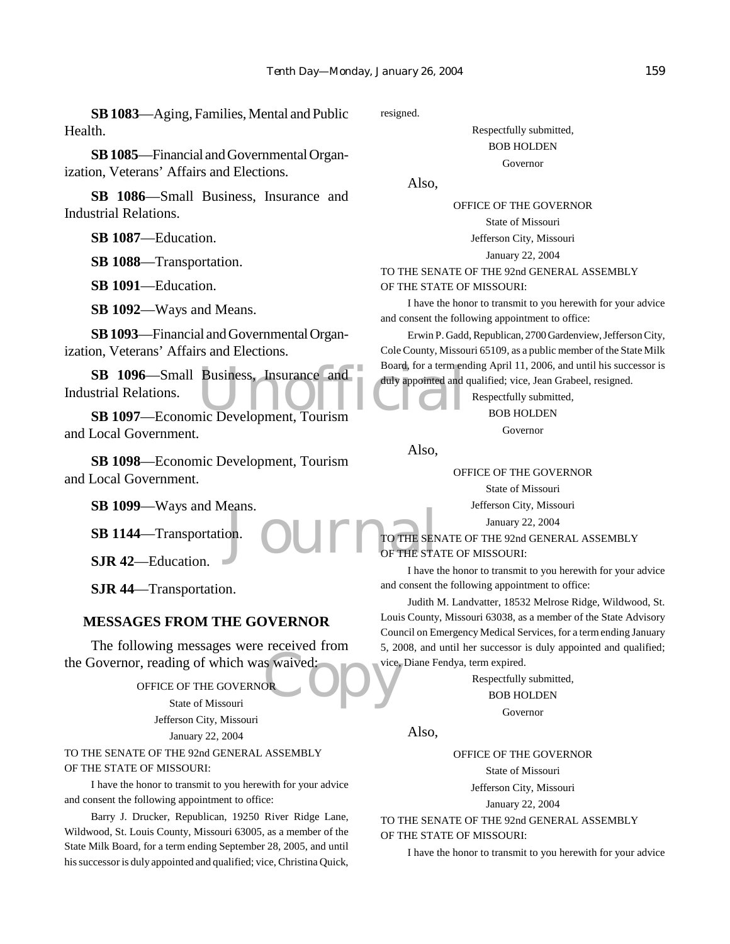**SB 1083**—Aging, Families, Mental and Public Health.

**SB 1085**—Financial and Governmental Organization, Veterans' Affairs and Elections.

**SB 1086**—Small Business, Insurance and Industrial Relations.

**SB 1087**—Education.

**SB 1088**—Transportation.

**SB 1091**—Education.

**SB 1092**—Ways and Means.

**SB 1093**—Financial and Governmental Organization, Veterans' Affairs and Elections.

SB 1096—Small Business, Insurance and Board, for a term en strial Relations.<br>
SB 1097—Economic Development, Tourism Industrial Relations.

**SB 1097**—Economic Development, Tourism and Local Government.

**SB 1098**—Economic Development, Tourism and Local Government.

**SB 1099**—Ways and Means.

**SB 1144**—Transportation.

**SJR 42**—Education.

**SJR 44**—Transportation.

#### **MESSAGES FROM THE GOVERNOR**

S waived: The following messages were received from the Governor, reading of which was waived:

OFFICE OF THE GOVERNOR State of Missouri Jefferson City, Missouri

January 22, 2004

TO THE SENATE OF THE 92nd GENERAL ASSEMBLY OF THE STATE OF MISSOURI:

I have the honor to transmit to you herewith for your advice and consent the following appointment to office:

Barry J. Drucker, Republican, 19250 River Ridge Lane, Wildwood, St. Louis County, Missouri 63005, as a member of the State Milk Board, for a term ending September 28, 2005, and until his successor is duly appointed and qualified; vice, Christina Quick,

resigned.

Respectfully submitted, BOB HOLDEN Governor

Also,

OFFICE OF THE GOVERNOR State of Missouri Jefferson City, Missouri January 22, 2004

TO THE SENATE OF THE 92nd GENERAL ASSEMBLY OF THE STATE OF MISSOURI:

I have the honor to transmit to you herewith for your advice and consent the following appointment to office:

Erwin P. Gadd, Republican, 2700 Gardenview, Jefferson City, Cole County, Missouri 65109, as a public member of the State Milk Board, for a term ending April 11, 2006, and until his successor is duly appointed and qualified; vice, Jean Grabeel, resigned.

> Respectfully submitted, BOB HOLDEN Governor

Also,

OFFICE OF THE GOVERNOR

State of Missouri

Jefferson City, Missouri

January 22, 2004

on.<br>OUIL TO THE SEN TO THE SENATE OF THE 92nd GENERAL ASSEMBLY OF THE STATE OF MISSOURI:

I have the honor to transmit to you herewith for your advice and consent the following appointment to office:

Judith M. Landvatter, 18532 Melrose Ridge, Wildwood, St. Louis County, Missouri 63038, as a member of the State Advisory Council on Emergency Medical Services, for a term ending January 5, 2008, and until her successor is duly appointed and qualified; vice, Diane Fendya, term expired.

> Respectfully submitted, BOB HOLDEN

> > Governor

Also,

OFFICE OF THE GOVERNOR

State of Missouri

Jefferson City, Missouri

January 22, 2004

TO THE SENATE OF THE 92nd GENERAL ASSEMBLY OF THE STATE OF MISSOURI:

I have the honor to transmit to you herewith for your advice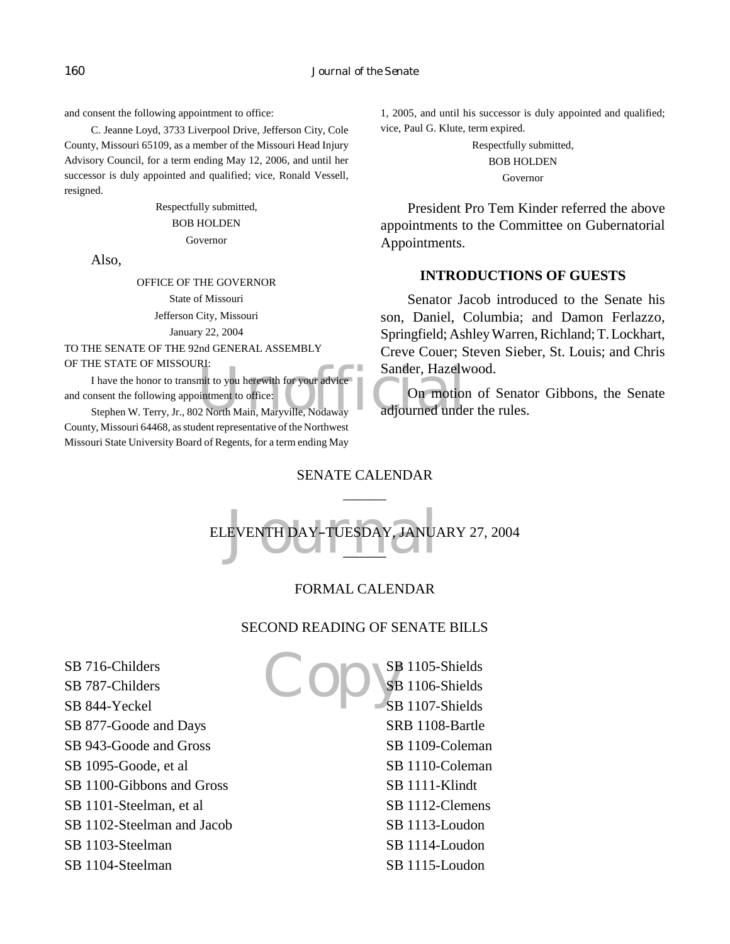and consent the following appointment to office:

C. Jeanne Loyd, 3733 Liverpool Drive, Jefferson City, Cole County, Missouri 65109, as a member of the Missouri Head Injury Advisory Council, for a term ending May 12, 2006, and until her successor is duly appointed and qualified; vice, Ronald Vessell, resigned.

> Respectfully submitted, BOB HOLDEN Governor

Also,

OFFICE OF THE GOVERNOR State of Missouri Jefferson City, Missouri January 22, 2004 TO THE SENATE OF THE 92nd GENERAL ASSEMBLY OF THE STATE OF MISSOURI:

I have the honor to transmit to you herewith for your advice

KI:<br>
mit to you herewith for your advice<br>
intment to office:<br>
2 North Main, Maryville, Nodaway<br>
dijourned unde and consent the following appointment to office:

Stephen W. Terry, Jr., 802 North Main, Maryville, Nodaway County, Missouri 64468, as student representative of the Northwest Missouri State University Board of Regents, for a term ending May

1, 2005, and until his successor is duly appointed and qualified; vice, Paul G. Klute, term expired.

> Respectfully submitted, BOB HOLDEN Governor

President Pro Tem Kinder referred the above appointments to the Committee on Gubernatorial Appointments.

# **INTRODUCTIONS OF GUESTS**

Senator Jacob introduced to the Senate his son, Daniel, Columbia; and Damon Ferlazzo, Springfield; Ashley Warren, Richland; T. Lockhart, Creve Couer; Steven Sieber, St. Louis; and Chris Sander, Hazelwood.

On motion of Senator Gibbons, the Senate adjourned under the rules.

# SENATE CALENDAR  $\overline{\phantom{a}}$

# EVENTH DAY-TUESDAY, JANUA ELEVENTH DAY-TUESDAY, JANUARY 27, 2004  $\overline{\phantom{a}}$

# FORMAL CALENDAR

### SECOND READING OF SENATE BILLS

SB 716-Childers SB 787-Childers SB 844-Yeckel SB 877-Goode and Days SB 943-Goode and Gross SB 1095-Goode, et al SB 1100-Gibbons and Gross SB 1101-Steelman, et al SB 1102-Steelman and Jacob SB 1103-Steelman SB 1104-Steelman

 $\overline{\mathcal{C}}$ SB 1105-Shields SB 1106-Shields SB 1107-Shields SRB 1108-Bartle SB 1109-Coleman SB 1110-Coleman SB 1111-Klindt SB 1112-Clemens SB 1113-Loudon SB 1114-Loudon SB 1115-Loudon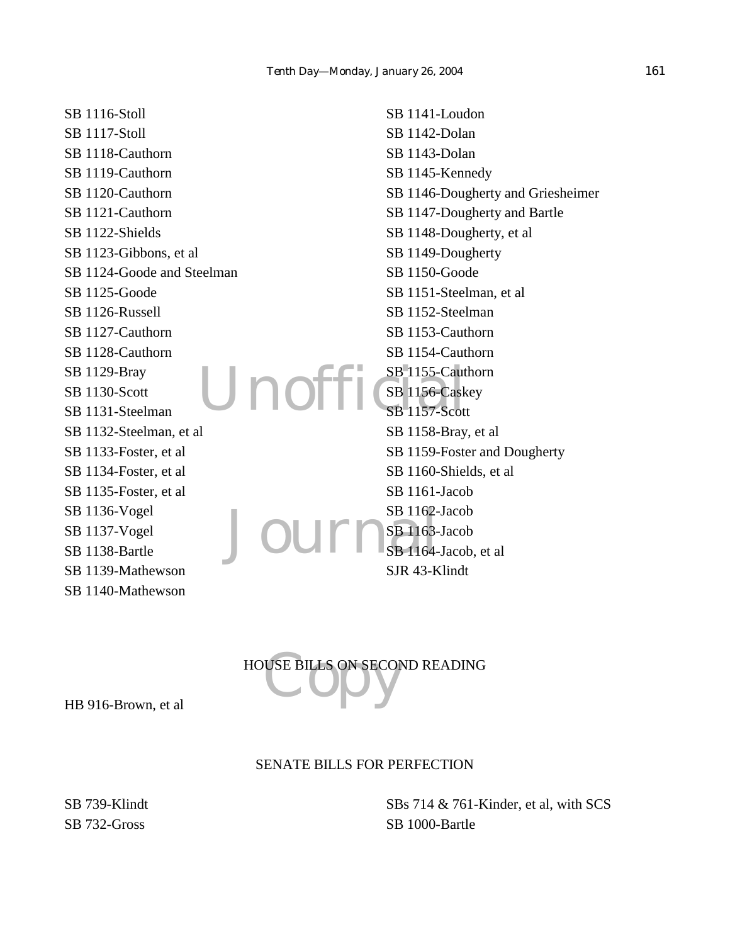Unoffi SB 1116-Stoll SB 1117-Stoll SB 1118-Cauthorn SB 1119-Cauthorn SB 1120-Cauthorn SB 1121-Cauthorn SB 1122-Shields SB 1123-Gibbons, et al SB 1124-Goode and Steelman SB 1125-Goode SB 1126-Russell SB 1127-Cauthorn SB 1128-Cauthorn SB 1129-Bray SB 1130-Scott SB 1131-Steelman SB 1132-Steelman, et al SB 1133-Foster, et al SB 1134-Foster, et al SB 1135-Foster, et al SB 1136-Vogel SB 1137-Vogel SB 1138-Bartle SB 1139-Mathewson SB 1140-Mathewson

SB 1162-Jacob SB 1141-Loudon SB 1142-Dolan SB 1143-Dolan SB 1145-Kennedy SB 1146-Dougherty and Griesheimer SB 1147-Dougherty and Bartle SB 1148-Dougherty, et al SB 1149-Dougherty SB 1150-Goode SB 1151-Steelman, et al SB 1152-Steelman SB 1153-Cauthorn SB 1154-Cauthorn SB 1155-Cauthorn SB 1156-Caskey SB 1157-Scott SB 1158-Bray, et al SB 1159-Foster and Dougherty SB 1160-Shields, et al SB 1161-Jacob SB 1163-Jacob SB 1164-Jacob, et al. SJR 43-Klindt

HOUSE BILLS ON SECOND READING

HB 916-Brown, et al

### SENATE BILLS FOR PERFECTION

SB 739-Klindt SB 732-Gross

SBs 714 & 761-Kinder, et al, with SCS SB 1000-Bartle